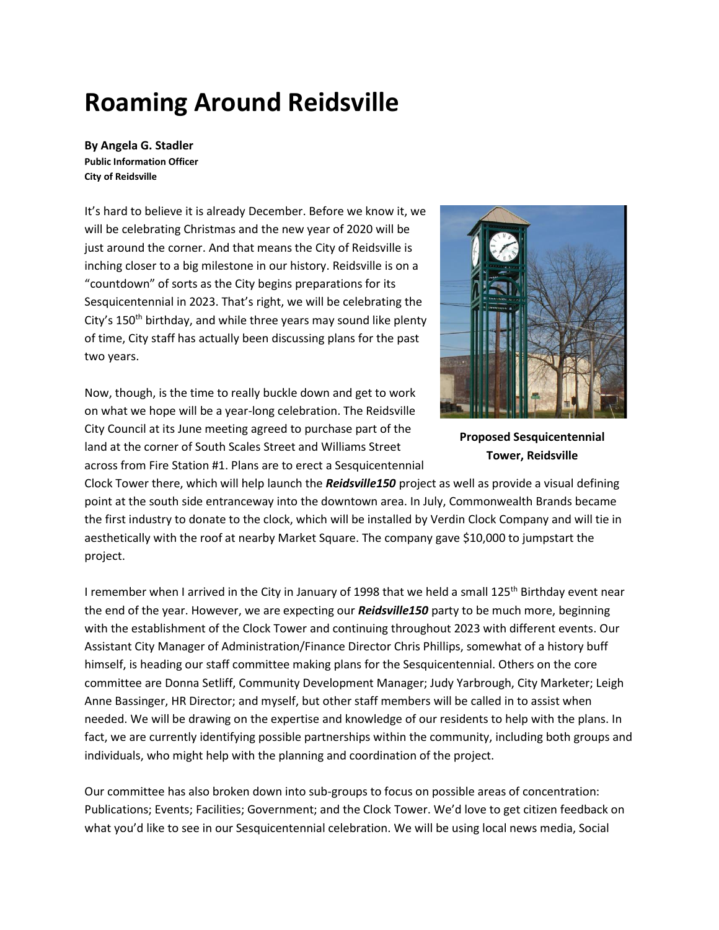## **Roaming Around Reidsville**

**By Angela G. Stadler Public Information Officer City of Reidsville**

It's hard to believe it is already December. Before we know it, we will be celebrating Christmas and the new year of 2020 will be just around the corner. And that means the City of Reidsville is inching closer to a big milestone in our history. Reidsville is on a "countdown" of sorts as the City begins preparations for its Sesquicentennial in 2023. That's right, we will be celebrating the City's 150<sup>th</sup> birthday, and while three years may sound like plenty of time, City staff has actually been discussing plans for the past two years.

Now, though, is the time to really buckle down and get to work on what we hope will be a year-long celebration. The Reidsville City Council at its June meeting agreed to purchase part of the land at the corner of South Scales Street and Williams Street across from Fire Station #1. Plans are to erect a Sesquicentennial



**Proposed Sesquicentennial Tower, Reidsville**

Clock Tower there, which will help launch the *Reidsville150* project as well as provide a visual defining point at the south side entranceway into the downtown area. In July, Commonwealth Brands became the first industry to donate to the clock, which will be installed by Verdin Clock Company and will tie in aesthetically with the roof at nearby Market Square. The company gave \$10,000 to jumpstart the project.

I remember when I arrived in the City in January of 1998 that we held a small 125<sup>th</sup> Birthday event near the end of the year. However, we are expecting our *Reidsville150* party to be much more, beginning with the establishment of the Clock Tower and continuing throughout 2023 with different events. Our Assistant City Manager of Administration/Finance Director Chris Phillips, somewhat of a history buff himself, is heading our staff committee making plans for the Sesquicentennial. Others on the core committee are Donna Setliff, Community Development Manager; Judy Yarbrough, City Marketer; Leigh Anne Bassinger, HR Director; and myself, but other staff members will be called in to assist when needed. We will be drawing on the expertise and knowledge of our residents to help with the plans. In fact, we are currently identifying possible partnerships within the community, including both groups and individuals, who might help with the planning and coordination of the project.

Our committee has also broken down into sub-groups to focus on possible areas of concentration: Publications; Events; Facilities; Government; and the Clock Tower. We'd love to get citizen feedback on what you'd like to see in our Sesquicentennial celebration. We will be using local news media, Social